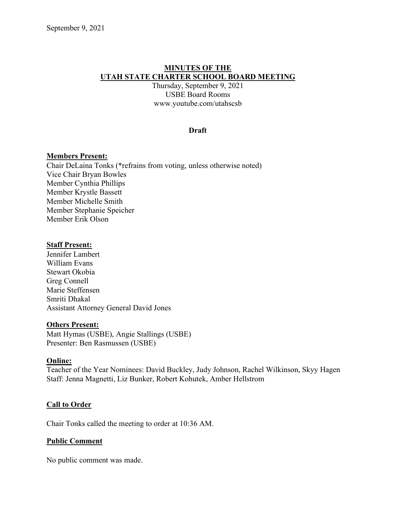# **MINUTES OF THE UTAH STATE CHARTER SCHOOL BOARD MEETING**

Thursday, September 9, 2021 USBE Board Rooms www.youtube.com/utahscsb

## **Draft**

### **Members Present:**

Chair DeLaina Tonks (\*refrains from voting, unless otherwise noted) Vice Chair Bryan Bowles Member Cynthia Phillips Member Krystle Bassett Member Michelle Smith Member Stephanie Speicher Member Erik Olson

#### **Staff Present:**

Jennifer Lambert William Evans Stewart Okobia Greg Connell Marie Steffensen Smriti Dhakal Assistant Attorney General David Jones

#### **Others Present:**

Matt Hymas (USBE), Angie Stallings (USBE) Presenter: Ben Rasmussen (USBE)

#### **Online:**

Teacher of the Year Nominees: David Buckley, Judy Johnson, Rachel Wilkinson, Skyy Hagen Staff: Jenna Magnetti, Liz Bunker, Robert Kohutek, Amber Hellstrom

## **Call to Order**

Chair Tonks called the meeting to order at 10:36 AM.

## **Public Comment**

No public comment was made.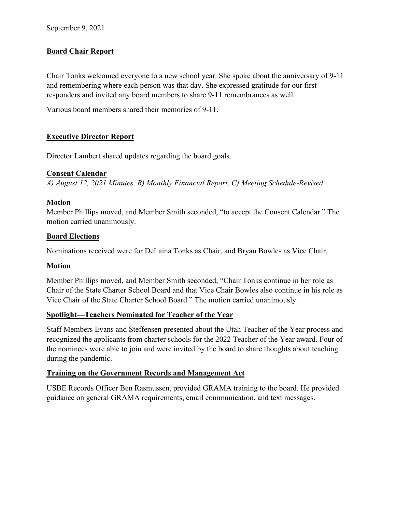# **Board Chair Report**

Chair Tonks welcomed everyone to a new school year. She spoke about the anniversary of 9-11 and remembering where each person was that day. She expressed gratitude for our first responders and invited any board members to share 9-11 remembrances as well.

Various board members shared their memories of 9-11.

# **Executive Director Report**

Director Lambert shared updates regarding the board goals.

# **Consent Calendar**

*A) August 12, 2021 Minutes, B) Monthly Financial Report, C) Meeting Schedule-Revised*

# **Motion**

Member Phillips moved, and Member Smith seconded, "to accept the Consent Calendar." The motion carried unanimously.

# **Board Elections**

Nominations received were for DeLaina Tonks as Chair, and Bryan Bowles as Vice Chair.

# **Motion**

Member Phillips moved, and Member Smith seconded, "Chair Tonks continue in her role as Chair of the State Charter School Board and that Vice Chair Bowles also continue in his role as Vice Chair of the State Charter School Board." The motion carried unanimously.

# **Spotlight—Teachers Nominated for Teacher of the Year**

Staff Members Evans and Steffensen presented about the Utah Teacher of the Year process and recognized the applicants from charter schools for the 2022 Teacher of the Year award. Four of the nominees were able to join and were invited by the board to share thoughts about teaching during the pandemic.

# **Training on the Government Records and Management Act**

USBE Records Officer Ben Rasmussen, provided GRAMA training to the board. He provided guidance on general GRAMA requirements, email communication, and text messages.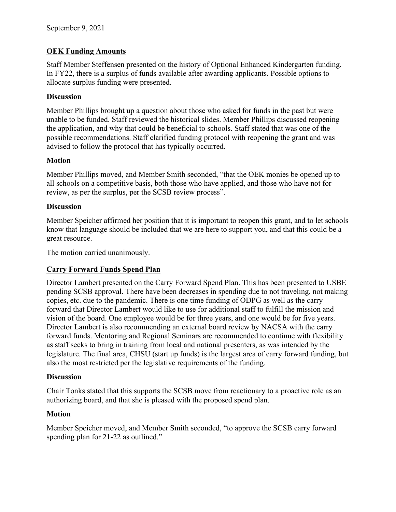# **OEK Funding Amounts**

Staff Member Steffensen presented on the history of Optional Enhanced Kindergarten funding. In FY22, there is a surplus of funds available after awarding applicants. Possible options to allocate surplus funding were presented.

# **Discussion**

Member Phillips brought up a question about those who asked for funds in the past but were unable to be funded. Staff reviewed the historical slides. Member Phillips discussed reopening the application, and why that could be beneficial to schools. Staff stated that was one of the possible recommendations. Staff clarified funding protocol with reopening the grant and was advised to follow the protocol that has typically occurred.

# **Motion**

Member Phillips moved, and Member Smith seconded, "that the OEK monies be opened up to all schools on a competitive basis, both those who have applied, and those who have not for review, as per the surplus, per the SCSB review process".

# **Discussion**

Member Speicher affirmed her position that it is important to reopen this grant, and to let schools know that language should be included that we are here to support you, and that this could be a great resource.

The motion carried unanimously.

# **Carry Forward Funds Spend Plan**

Director Lambert presented on the Carry Forward Spend Plan. This has been presented to USBE pending SCSB approval. There have been decreases in spending due to not traveling, not making copies, etc. due to the pandemic. There is one time funding of ODPG as well as the carry forward that Director Lambert would like to use for additional staff to fulfill the mission and vision of the board. One employee would be for three years, and one would be for five years. Director Lambert is also recommending an external board review by NACSA with the carry forward funds. Mentoring and Regional Seminars are recommended to continue with flexibility as staff seeks to bring in training from local and national presenters, as was intended by the legislature. The final area, CHSU (start up funds) is the largest area of carry forward funding, but also the most restricted per the legislative requirements of the funding.

# **Discussion**

Chair Tonks stated that this supports the SCSB move from reactionary to a proactive role as an authorizing board, and that she is pleased with the proposed spend plan.

# **Motion**

Member Speicher moved, and Member Smith seconded, "to approve the SCSB carry forward spending plan for 21-22 as outlined."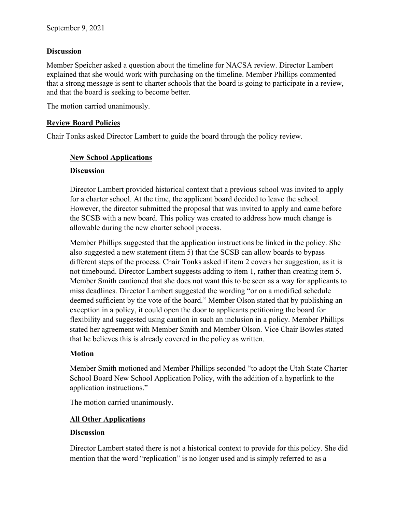## **Discussion**

Member Speicher asked a question about the timeline for NACSA review. Director Lambert explained that she would work with purchasing on the timeline. Member Phillips commented that a strong message is sent to charter schools that the board is going to participate in a review, and that the board is seeking to become better.

The motion carried unanimously.

## **Review Board Policies**

Chair Tonks asked Director Lambert to guide the board through the policy review.

## **New School Applications**

## **Discussion**

Director Lambert provided historical context that a previous school was invited to apply for a charter school. At the time, the applicant board decided to leave the school. However, the director submitted the proposal that was invited to apply and came before the SCSB with a new board. This policy was created to address how much change is allowable during the new charter school process.

Member Phillips suggested that the application instructions be linked in the policy. She also suggested a new statement (item 5) that the SCSB can allow boards to bypass different steps of the process. Chair Tonks asked if item 2 covers her suggestion, as it is not timebound. Director Lambert suggests adding to item 1, rather than creating item 5. Member Smith cautioned that she does not want this to be seen as a way for applicants to miss deadlines. Director Lambert suggested the wording "or on a modified schedule deemed sufficient by the vote of the board." Member Olson stated that by publishing an exception in a policy, it could open the door to applicants petitioning the board for flexibility and suggested using caution in such an inclusion in a policy. Member Phillips stated her agreement with Member Smith and Member Olson. Vice Chair Bowles stated that he believes this is already covered in the policy as written.

## **Motion**

Member Smith motioned and Member Phillips seconded "to adopt the Utah State Charter School Board New School Application Policy, with the addition of a hyperlink to the application instructions."

The motion carried unanimously.

# **All Other Applications**

## **Discussion**

Director Lambert stated there is not a historical context to provide for this policy. She did mention that the word "replication" is no longer used and is simply referred to as a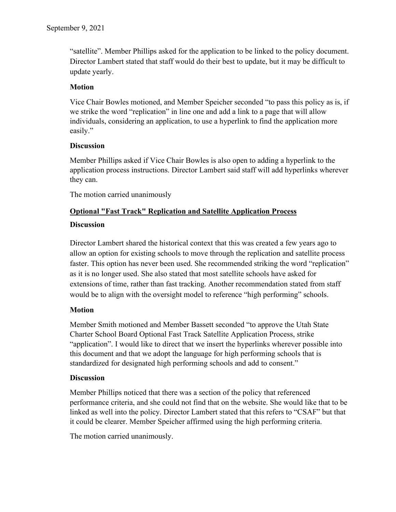"satellite". Member Phillips asked for the application to be linked to the policy document. Director Lambert stated that staff would do their best to update, but it may be difficult to update yearly.

# **Motion**

Vice Chair Bowles motioned, and Member Speicher seconded "to pass this policy as is, if we strike the word "replication" in line one and add a link to a page that will allow individuals, considering an application, to use a hyperlink to find the application more easily."

# **Discussion**

Member Phillips asked if Vice Chair Bowles is also open to adding a hyperlink to the application process instructions. Director Lambert said staff will add hyperlinks wherever they can.

The motion carried unanimously

# **Optional "Fast Track" Replication and Satellite Application Process**

# **Discussion**

Director Lambert shared the historical context that this was created a few years ago to allow an option for existing schools to move through the replication and satellite process faster. This option has never been used. She recommended striking the word "replication" as it is no longer used. She also stated that most satellite schools have asked for extensions of time, rather than fast tracking. Another recommendation stated from staff would be to align with the oversight model to reference "high performing" schools.

# **Motion**

Member Smith motioned and Member Bassett seconded "to approve the Utah State Charter School Board Optional Fast Track Satellite Application Process, strike "application". I would like to direct that we insert the hyperlinks wherever possible into this document and that we adopt the language for high performing schools that is standardized for designated high performing schools and add to consent."

# **Discussion**

Member Phillips noticed that there was a section of the policy that referenced performance criteria, and she could not find that on the website. She would like that to be linked as well into the policy. Director Lambert stated that this refers to "CSAF" but that it could be clearer. Member Speicher affirmed using the high performing criteria.

The motion carried unanimously.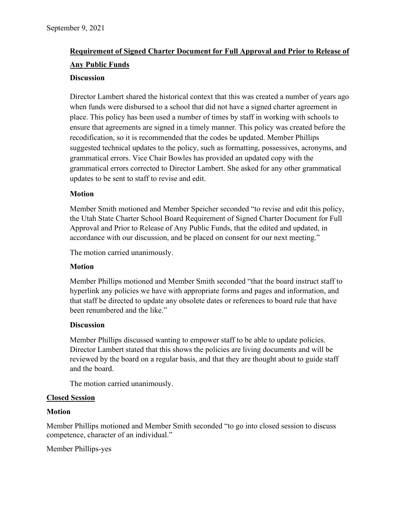# **Requirement of Signed Charter Document for Full Approval and Prior to Release of Any Public Funds**

## **Discussion**

Director Lambert shared the historical context that this was created a number of years ago when funds were disbursed to a school that did not have a signed charter agreement in place. This policy has been used a number of times by staff in working with schools to ensure that agreements are signed in a timely manner. This policy was created before the recodification, so it is recommended that the codes be updated. Member Phillips suggested technical updates to the policy, such as formatting, possessives, acronyms, and grammatical errors. Vice Chair Bowles has provided an updated copy with the grammatical errors corrected to Director Lambert. She asked for any other grammatical updates to be sent to staff to revise and edit.

## **Motion**

Member Smith motioned and Member Speicher seconded "to revise and edit this policy, the Utah State Charter School Board Requirement of Signed Charter Document for Full Approval and Prior to Release of Any Public Funds, that the edited and updated, in accordance with our discussion, and be placed on consent for our next meeting."

The motion carried unanimously.

## **Motion**

Member Phillips motioned and Member Smith seconded "that the board instruct staff to hyperlink any policies we have with appropriate forms and pages and information, and that staff be directed to update any obsolete dates or references to board rule that have been renumbered and the like."

## **Discussion**

Member Phillips discussed wanting to empower staff to be able to update policies. Director Lambert stated that this shows the policies are living documents and will be reviewed by the board on a regular basis, and that they are thought about to guide staff and the board.

The motion carried unanimously.

## **Closed Session**

## **Motion**

Member Phillips motioned and Member Smith seconded "to go into closed session to discuss competence, character of an individual."

Member Phillips-yes